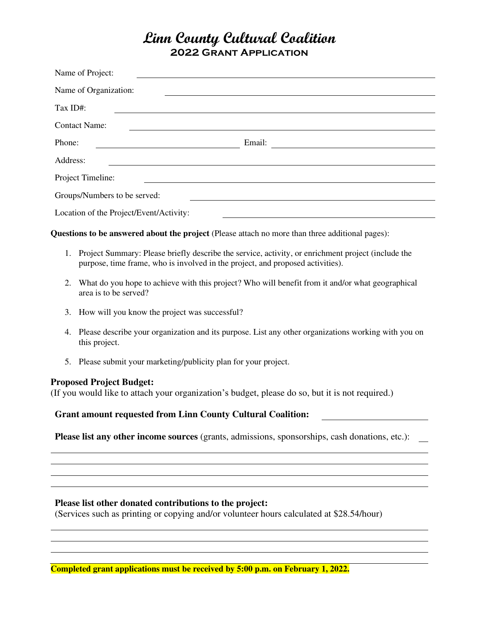# **Linn County Cultural Coalition 2022 Grant Application**

| Name of Project:                        |        |
|-----------------------------------------|--------|
| Name of Organization:                   |        |
| Tax ID#:                                |        |
| <b>Contact Name:</b>                    |        |
| Phone:                                  | Email: |
| Address:                                |        |
| Project Timeline:                       |        |
| Groups/Numbers to be served:            |        |
| Location of the Project/Event/Activity: |        |

**Questions to be answered about the project** (Please attach no more than three additional pages):

- 1. Project Summary: Please briefly describe the service, activity, or enrichment project (include the purpose, time frame, who is involved in the project, and proposed activities).
- 2. What do you hope to achieve with this project? Who will benefit from it and/or what geographical area is to be served?
- 3. How will you know the project was successful?
- 4. Please describe your organization and its purpose. List any other organizations working with you on this project.
- 5. Please submit your marketing/publicity plan for your project.

## **Proposed Project Budget:**

(If you would like to attach your organization's budget, please do so, but it is not required.)

#### **Grant amount requested from Linn County Cultural Coalition:**

**Please list any other income sources** (grants, admissions, sponsorships, cash donations, etc.):

## **Please list other donated contributions to the project:**

(Services such as printing or copying and/or volunteer hours calculated at \$28.54/hour)

**Completed grant applications must be received by 5:00 p.m. on February 1, 2022.**